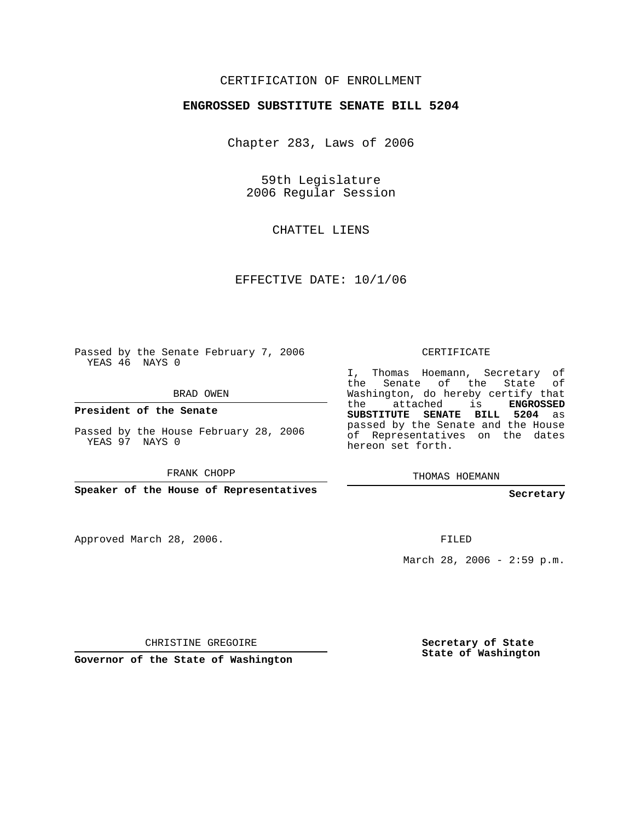### CERTIFICATION OF ENROLLMENT

#### **ENGROSSED SUBSTITUTE SENATE BILL 5204**

Chapter 283, Laws of 2006

59th Legislature 2006 Regular Session

CHATTEL LIENS

EFFECTIVE DATE: 10/1/06

Passed by the Senate February 7, 2006 YEAS 46 NAYS 0

BRAD OWEN

**President of the Senate**

Passed by the House February 28, 2006 YEAS 97 NAYS 0

FRANK CHOPP

**Speaker of the House of Representatives**

Approved March 28, 2006.

CERTIFICATE

I, Thomas Hoemann, Secretary of the Senate of the State of Washington, do hereby certify that the attached is **ENGROSSED SUBSTITUTE SENATE BILL 5204** as passed by the Senate and the House of Representatives on the dates hereon set forth.

THOMAS HOEMANN

**Secretary**

FILED

March 28, 2006 - 2:59 p.m.

CHRISTINE GREGOIRE

**Governor of the State of Washington**

**Secretary of State State of Washington**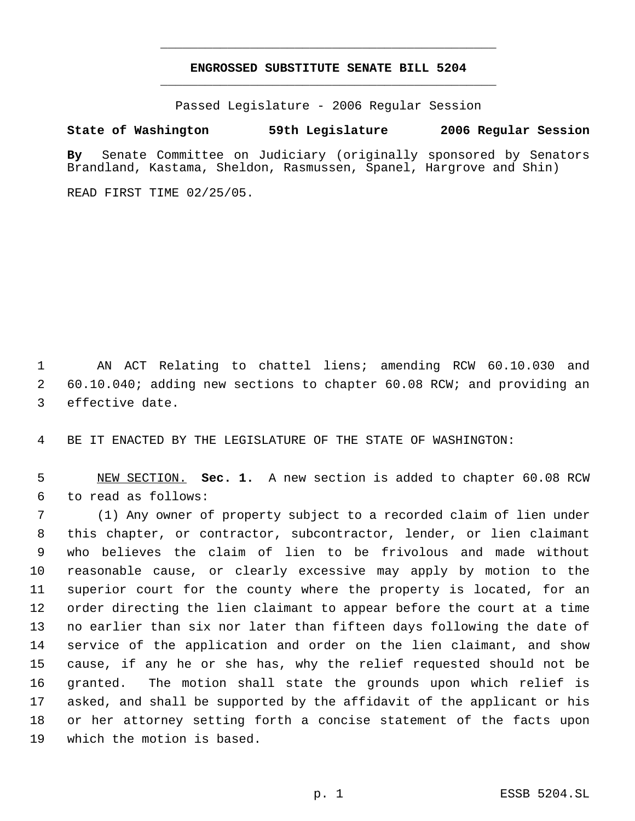# **ENGROSSED SUBSTITUTE SENATE BILL 5204** \_\_\_\_\_\_\_\_\_\_\_\_\_\_\_\_\_\_\_\_\_\_\_\_\_\_\_\_\_\_\_\_\_\_\_\_\_\_\_\_\_\_\_\_\_

\_\_\_\_\_\_\_\_\_\_\_\_\_\_\_\_\_\_\_\_\_\_\_\_\_\_\_\_\_\_\_\_\_\_\_\_\_\_\_\_\_\_\_\_\_

Passed Legislature - 2006 Regular Session

#### **State of Washington 59th Legislature 2006 Regular Session**

**By** Senate Committee on Judiciary (originally sponsored by Senators Brandland, Kastama, Sheldon, Rasmussen, Spanel, Hargrove and Shin)

READ FIRST TIME 02/25/05.

 AN ACT Relating to chattel liens; amending RCW 60.10.030 and 60.10.040; adding new sections to chapter 60.08 RCW; and providing an effective date.

BE IT ENACTED BY THE LEGISLATURE OF THE STATE OF WASHINGTON:

 NEW SECTION. **Sec. 1.** A new section is added to chapter 60.08 RCW to read as follows:

 (1) Any owner of property subject to a recorded claim of lien under this chapter, or contractor, subcontractor, lender, or lien claimant who believes the claim of lien to be frivolous and made without reasonable cause, or clearly excessive may apply by motion to the superior court for the county where the property is located, for an order directing the lien claimant to appear before the court at a time no earlier than six nor later than fifteen days following the date of service of the application and order on the lien claimant, and show cause, if any he or she has, why the relief requested should not be granted. The motion shall state the grounds upon which relief is asked, and shall be supported by the affidavit of the applicant or his or her attorney setting forth a concise statement of the facts upon which the motion is based.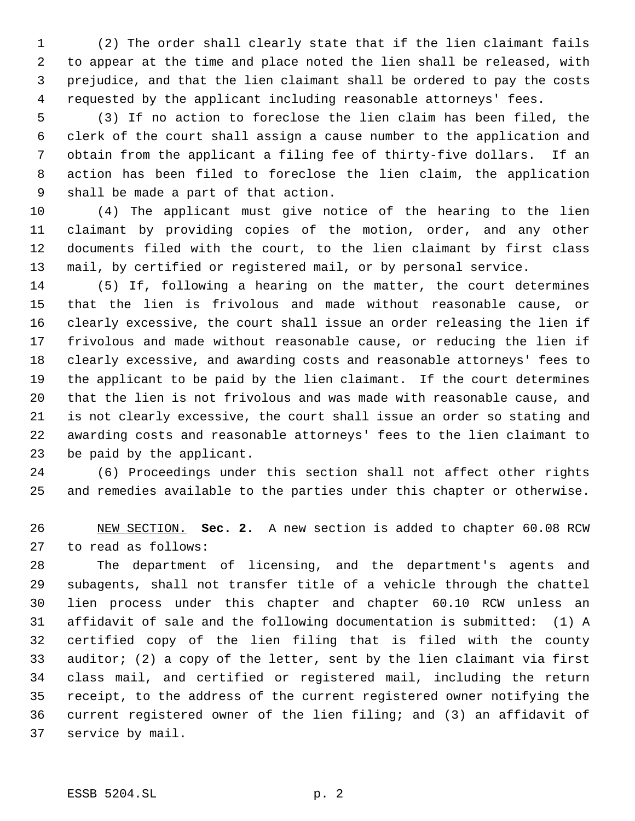(2) The order shall clearly state that if the lien claimant fails to appear at the time and place noted the lien shall be released, with prejudice, and that the lien claimant shall be ordered to pay the costs requested by the applicant including reasonable attorneys' fees.

 (3) If no action to foreclose the lien claim has been filed, the clerk of the court shall assign a cause number to the application and obtain from the applicant a filing fee of thirty-five dollars. If an action has been filed to foreclose the lien claim, the application shall be made a part of that action.

 (4) The applicant must give notice of the hearing to the lien claimant by providing copies of the motion, order, and any other documents filed with the court, to the lien claimant by first class mail, by certified or registered mail, or by personal service.

 (5) If, following a hearing on the matter, the court determines that the lien is frivolous and made without reasonable cause, or clearly excessive, the court shall issue an order releasing the lien if frivolous and made without reasonable cause, or reducing the lien if clearly excessive, and awarding costs and reasonable attorneys' fees to the applicant to be paid by the lien claimant. If the court determines that the lien is not frivolous and was made with reasonable cause, and is not clearly excessive, the court shall issue an order so stating and awarding costs and reasonable attorneys' fees to the lien claimant to be paid by the applicant.

 (6) Proceedings under this section shall not affect other rights and remedies available to the parties under this chapter or otherwise.

 NEW SECTION. **Sec. 2.** A new section is added to chapter 60.08 RCW to read as follows:

 The department of licensing, and the department's agents and subagents, shall not transfer title of a vehicle through the chattel lien process under this chapter and chapter 60.10 RCW unless an affidavit of sale and the following documentation is submitted: (1) A certified copy of the lien filing that is filed with the county auditor; (2) a copy of the letter, sent by the lien claimant via first class mail, and certified or registered mail, including the return receipt, to the address of the current registered owner notifying the current registered owner of the lien filing; and (3) an affidavit of service by mail.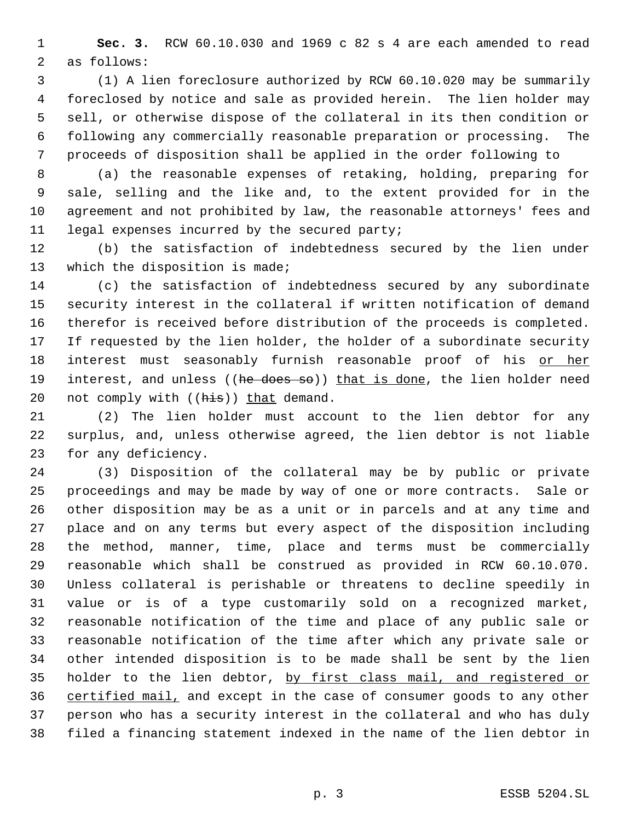**Sec. 3.** RCW 60.10.030 and 1969 c 82 s 4 are each amended to read as follows:

 (1) A lien foreclosure authorized by RCW 60.10.020 may be summarily foreclosed by notice and sale as provided herein. The lien holder may sell, or otherwise dispose of the collateral in its then condition or following any commercially reasonable preparation or processing. The proceeds of disposition shall be applied in the order following to

 (a) the reasonable expenses of retaking, holding, preparing for sale, selling and the like and, to the extent provided for in the agreement and not prohibited by law, the reasonable attorneys' fees and legal expenses incurred by the secured party;

 (b) the satisfaction of indebtedness secured by the lien under which the disposition is made;

 (c) the satisfaction of indebtedness secured by any subordinate security interest in the collateral if written notification of demand therefor is received before distribution of the proceeds is completed. If requested by the lien holder, the holder of a subordinate security 18 interest must seasonably furnish reasonable proof of his or her 19 interest, and unless ((he does so)) that is done, the lien holder need 20 not comply with  $(\overline{his})$  that demand.

 (2) The lien holder must account to the lien debtor for any surplus, and, unless otherwise agreed, the lien debtor is not liable for any deficiency.

 (3) Disposition of the collateral may be by public or private proceedings and may be made by way of one or more contracts. Sale or other disposition may be as a unit or in parcels and at any time and place and on any terms but every aspect of the disposition including the method, manner, time, place and terms must be commercially reasonable which shall be construed as provided in RCW 60.10.070. Unless collateral is perishable or threatens to decline speedily in value or is of a type customarily sold on a recognized market, reasonable notification of the time and place of any public sale or reasonable notification of the time after which any private sale or other intended disposition is to be made shall be sent by the lien 35 holder to the lien debtor, by first class mail, and registered or 36 certified mail, and except in the case of consumer goods to any other person who has a security interest in the collateral and who has duly filed a financing statement indexed in the name of the lien debtor in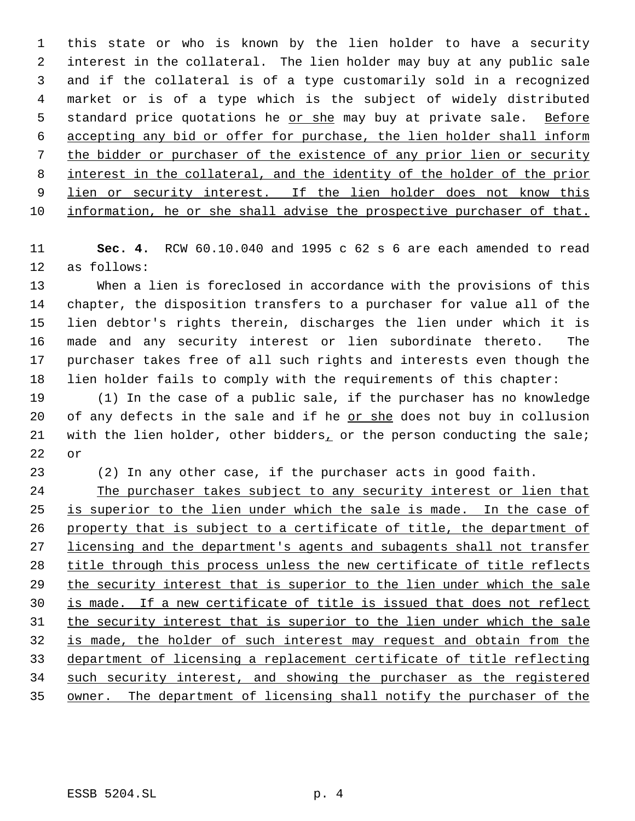this state or who is known by the lien holder to have a security interest in the collateral. The lien holder may buy at any public sale and if the collateral is of a type customarily sold in a recognized market or is of a type which is the subject of widely distributed 5 standard price quotations he or she may buy at private sale. Before accepting any bid or offer for purchase, the lien holder shall inform the bidder or purchaser of the existence of any prior lien or security interest in the collateral, and the identity of the holder of the prior 9 lien or security interest. If the lien holder does not know this information, he or she shall advise the prospective purchaser of that.

 **Sec. 4.** RCW 60.10.040 and 1995 c 62 s 6 are each amended to read as follows:

 When a lien is foreclosed in accordance with the provisions of this chapter, the disposition transfers to a purchaser for value all of the lien debtor's rights therein, discharges the lien under which it is made and any security interest or lien subordinate thereto. The purchaser takes free of all such rights and interests even though the lien holder fails to comply with the requirements of this chapter:

 (1) In the case of a public sale, if the purchaser has no knowledge of any defects in the sale and if he or she does not buy in collusion 21 with the lien holder, other bidders, or the person conducting the sale; or

(2) In any other case, if the purchaser acts in good faith.

 The purchaser takes subject to any security interest or lien that 25 is superior to the lien under which the sale is made. In the case of property that is subject to a certificate of title, the department of 27 licensing and the department's agents and subagents shall not transfer title through this process unless the new certificate of title reflects 29 the security interest that is superior to the lien under which the sale is made. If a new certificate of title is issued that does not reflect the security interest that is superior to the lien under which the sale is made, the holder of such interest may request and obtain from the department of licensing a replacement certificate of title reflecting such security interest, and showing the purchaser as the registered owner. The department of licensing shall notify the purchaser of the